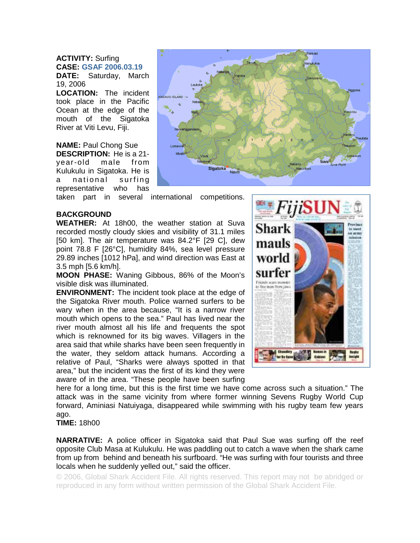**ACTIVITY:** Surfing **CASE: GSAF 2006.03.19**

**DATE:** Saturday, March 19, 2006 **LOCATION:** The incident

took place in the Pacific Ocean at the edge of the mouth of the Sigatoka River at Viti Levu, Fiji.

**NAME:** Paul Chong Sue **DESCRIPTION:** He is a 21 year-old male from Kulukulu in Sigatoka. He is a national surfing representative who has



taken part in several international competitions.

## **BACKGROUND**

**WEATHER:** At 18h00, the weather station at Suva recorded mostly cloudy skies and visibility of 31.1 miles [50 km]. The air temperature was 84.2°F [29 C], dew point 78.8 F [26°C], humidity 84%, sea level pressure 29.89 inches [1012 hPa], and wind direction was East at 3.5 mph [5.6 km/h].

**MOON PHASE:** Waning Gibbous, 86% of the Moon's visible disk was illuminated.

**ENVIRONMENT:** The incident took place at the edge of the Sigatoka River mouth. Police warned surfers to be wary when in the area because, "It is a narrow river mouth which opens to the sea." Paul has lived near the river mouth almost all his life and frequents the spot which is reknowned for its big waves. Villagers in the area said that while sharks have been seen frequently in the water, they seldom attack humans. According a relative of Paul, "Sharks were always spotted in that area," but the incident was the first of its kind they were aware of in the area. "These people have been surfing



here for a long time, but this is the first time we have come across such a situation." The attack was in the same vicinity from where former winning Sevens Rugby World Cup forward, Aminiasi Natuiyaga, disappeared while swimming with his rugby team few years ago.

**TIME:** 18h00

**NARRATIVE:** A police officer in Sigatoka said that Paul Sue was surfing off the reef opposite Club Masa at Kulukulu. He was paddling out to catch a wave when the shark came from up from behind and beneath his surfboard. "He was surfing with four tourists and three locals when he suddenly yelled out," said the officer.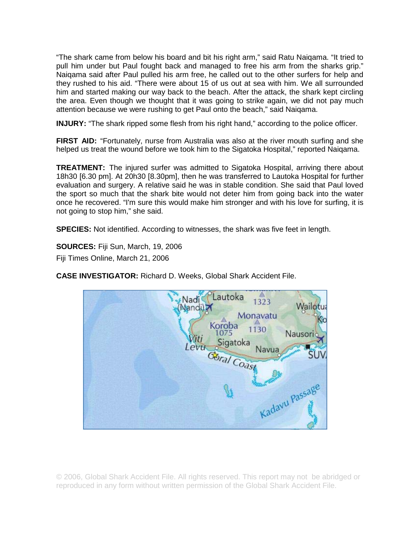"The shark came from below his board and bit his right arm," said Ratu Naiqama. "It tried to pull him under but Paul fought back and managed to free his arm from the sharks grip." Naiqama said after Paul pulled his arm free, he called out to the other surfers for help and they rushed to his aid. "There were about 15 of us out at sea with him. We all surrounded him and started making our way back to the beach. After the attack, the shark kept circling the area. Even though we thought that it was going to strike again, we did not pay much attention because we were rushing to get Paul onto the beach," said Naiqama.

**INJURY:** "The shark ripped some flesh from his right hand," according to the police officer.

**FIRST AID:** "Fortunately, nurse from Australia was also at the river mouth surfing and she helped us treat the wound before we took him to the Sigatoka Hospital," reported Naiqama.

**TREATMENT:** The injured surfer was admitted to Sigatoka Hospital, arriving there about 18h30 [6.30 pm]. At 20h30 [8.30pm], then he was transferred to Lautoka Hospital for further evaluation and surgery. A relative said he was in stable condition. She said that Paul loved the sport so much that the shark bite would not deter him from going back into the water once he recovered. "I'm sure this would make him stronger and with his love for surfing, it is not going to stop him," she said.

**SPECIES:** Not identified. According to witnesses, the shark was five feet in length.

**SOURCES:** Fiji Sun, March, 19, 2006

Fiji Times Online, March 21, 2006

**CASE INVESTIGATOR:** Richard D. Weeks, Global Shark Accident File.

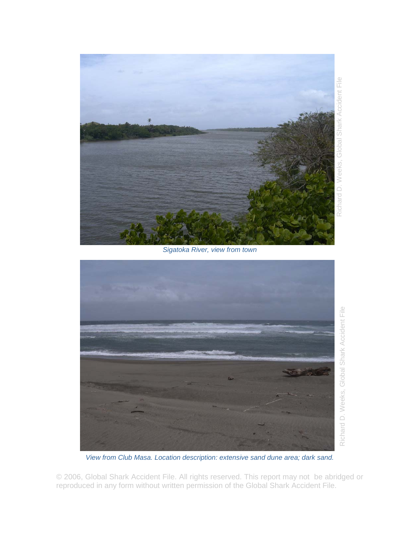

*Sigatoka River, view from town* 



*View from Club Masa. Location description: extensive sand dune area; dark sand.*